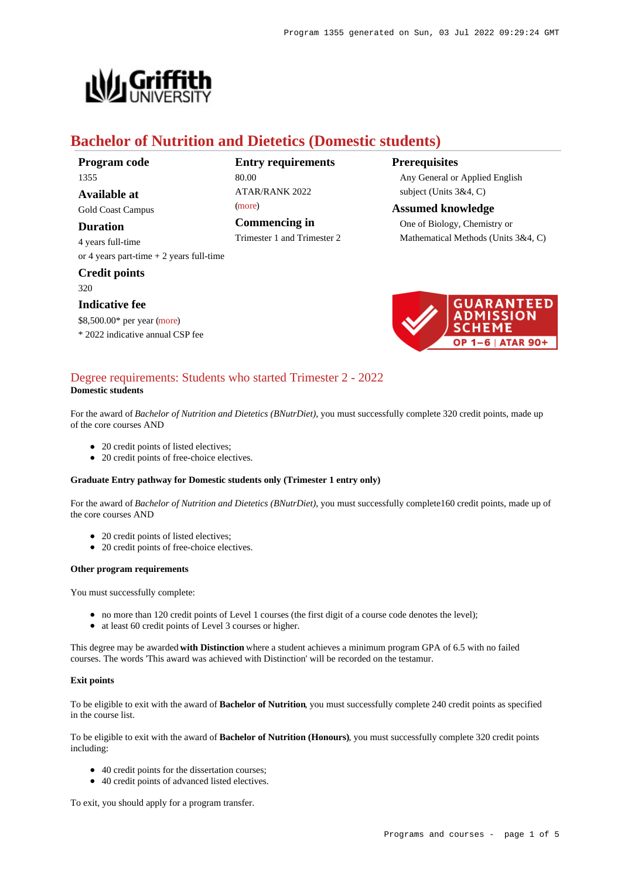

# **Bachelor of Nutrition and Dietetics (Domestic students)**

**Program code** 1355

**Available at** Gold Coast Campus

**Duration**

4 years full-time or 4 years part-time + 2 years full-time

**Credit points** 320

# **Indicative fee**

\$8,500.00\* per year [\(more](https://www148.griffith.edu.au/programs-courses/Program/1355/Overview/Domestic#fees))

\* 2022 indicative annual CSP fee

**Entry requirements** 80.00 ATAR/RANK 2022 [\(more](https://www148.griffith.edu.au/programs-courses/Program/1355/HowToApply/Domestic#tac-entry-requirements))

**Commencing in**

Trimester 1 and Trimester 2

# **Prerequisites**

Any General or Applied English subject (Units 3&4, C)

**Assumed knowledge** One of Biology, Chemistry or Mathematical Methods (Units 3&4, C)



### [Degree requirements: Students who started Trimester 2 - 2022](https://www148.griffith.edu.au/programs-courses/Program/1355/Courses/Domestic#degree-requirements) **Domestic students**

For the award of *Bachelor of Nutrition and Dietetics (BNutrDiet)*, you must successfully complete 320 credit points, made up of the core courses AND

- 20 credit points of listed electives;
- 20 credit points of free-choice electives.

### **Graduate Entry pathway for Domestic students only (Trimester 1 entry only)**

For the award of *Bachelor of Nutrition and Dietetics (BNutrDiet)*, you must successfully complete160 credit points, made up of the core courses AND

- 20 credit points of listed electives;
- 20 credit points of free-choice electives.

### **Other program requirements**

You must successfully complete:

- no more than 120 credit points of Level 1 courses (the first digit of a course code denotes the level);
- at least 60 credit points of Level 3 courses or higher.

This degree may be awarded **with Distinction** where a student achieves a minimum program GPA of 6.5 with no failed courses. The words 'This award was achieved with Distinction' will be recorded on the testamur.

### **Exit points**

To be eligible to exit with the award of **Bachelor of Nutrition**, you must successfully complete 240 credit points as specified in the course list.

To be eligible to exit with the award of **Bachelor of Nutrition (Honours)**, you must successfully complete 320 credit points including:

- 40 credit points for the dissertation courses;
- 40 credit points of advanced listed electives.

To exit, you should apply for a program transfer.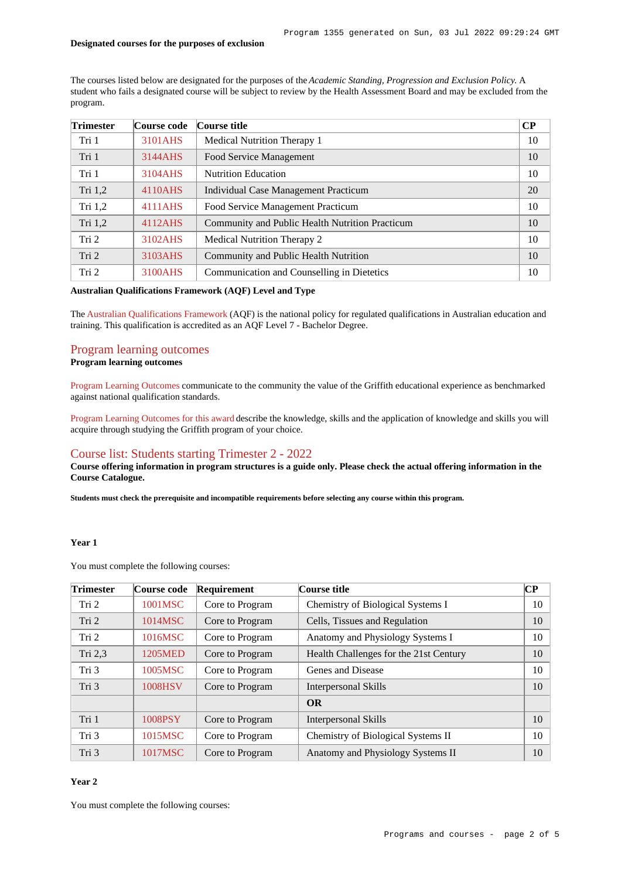#### **Designated courses for the purposes of exclusion**

The courses listed below are designated for the purposes of the *Academic Standing, Progression and Exclusion Policy*. A student who fails a designated course will be subject to review by the Health Assessment Board and may be excluded from the program.

| <b>Trimester</b> | Course code | Course title                                    | $\bf CP$ |
|------------------|-------------|-------------------------------------------------|----------|
| Tri 1            | 3101AHS     | Medical Nutrition Therapy 1                     | 10       |
| Tri 1            | 3144AHS     | Food Service Management                         | 10       |
| Tri 1            | 3104AHS     | <b>Nutrition Education</b>                      | 10       |
| Tri $1,2$        | 4110AHS     | Individual Case Management Practicum            | 20       |
| Tri $1,2$        | 4111AHS     | Food Service Management Practicum               | 10       |
| Tri $1,2$        | 4112AHS     | Community and Public Health Nutrition Practicum | 10       |
| Tri 2            | 3102AHS     | Medical Nutrition Therapy 2                     | 10       |
| Tri 2            | 3103AHS     | Community and Public Health Nutrition           | 10       |
| Tri 2            | 3100AHS     | Communication and Counselling in Dietetics      | 10       |

# **Australian Qualifications Framework (AQF) Level and Type**

The [Australian Qualifications Framework](http://www.aqf.edu.au/) (AQF) is the national policy for regulated qualifications in Australian education and training. This qualification is accredited as an AQF Level 7 - Bachelor Degree.

### [Program learning outcomes](https://www148.griffith.edu.au/programs-courses/Program/1355/Courses/Domestic#programLearningOutcomes) **Program learning outcomes**

[Program Learning Outcomes](https://www.griffith.edu.au/__data/assets/pdf_file/0017/134522/PLO-general-advice.pdf) communicate to the community the value of the Griffith educational experience as benchmarked against national qualification standards.

[Program Learning Outcomes for this award](https://www.griffith.edu.au/__data/assets/pdf_file/0030/295635/BNutrition-Dietetics-PLO-L7.pdf) describe the knowledge, skills and the application of knowledge and skills you will acquire through studying the Griffith program of your choice.

# [Course list: Students starting Trimester 2 - 2022](https://www148.griffith.edu.au/programs-courses/Program/1355/Courses/Domestic#course-list-content)

**Course offering information in program structures is a guide only. Please check the actual offering information in the Course Catalogue.**

**Students must check the prerequisite and incompatible requirements before selecting any course within this program.**

# **Year 1**

You must complete the following courses:

| <b>Trimester</b> | Course code | Requirement     | Course title                           | $\bf CP$ |
|------------------|-------------|-----------------|----------------------------------------|----------|
| Tri 2            | 1001MSC     | Core to Program | Chemistry of Biological Systems I      | 10       |
| Tri 2            | 1014MSC     | Core to Program | Cells, Tissues and Regulation          | 10       |
| Tri 2            | 1016MSC     | Core to Program | Anatomy and Physiology Systems I       | 10       |
| Tri 2,3          | 1205MED     | Core to Program | Health Challenges for the 21st Century | 10       |
| Tri 3            | 1005MSC     | Core to Program | Genes and Disease                      | 10       |
| Tri 3            | 1008HSV     | Core to Program | <b>Interpersonal Skills</b>            | 10       |
|                  |             |                 | <b>OR</b>                              |          |
| Tri 1            | 1008PSY     | Core to Program | Interpersonal Skills                   | 10       |
| Tri 3            | 1015MSC     | Core to Program | Chemistry of Biological Systems II     | 10       |
| Tri 3            | 1017MSC     | Core to Program | Anatomy and Physiology Systems II      | 10       |

### **Year 2**

You must complete the following courses: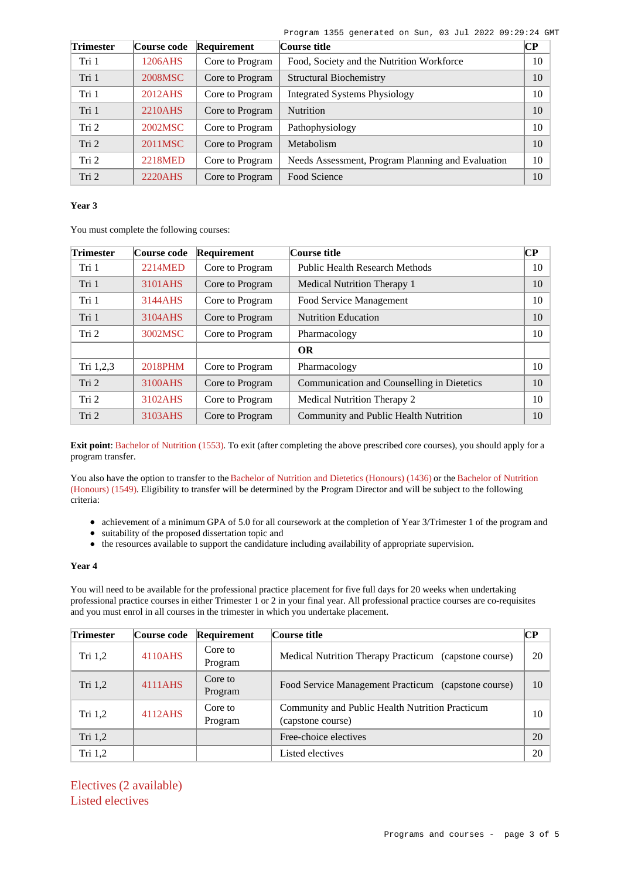Program 1355 generated on Sun, 03 Jul 2022 09:29:24 GMT

| <b>Trimester</b> | Course code | Requirement     | Course title                                      |    |
|------------------|-------------|-----------------|---------------------------------------------------|----|
| Tri 1            | 1206AHS     | Core to Program | Food, Society and the Nutrition Workforce         | 10 |
| Tri 1            | 2008MSC     | Core to Program | <b>Structural Biochemistry</b>                    | 10 |
| Tri 1            | 2012AHS     | Core to Program | <b>Integrated Systems Physiology</b>              | 10 |
| Tri 1            | 2210AHS     | Core to Program | <b>Nutrition</b>                                  | 10 |
| Tri 2            | 2002MSC     | Core to Program | Pathophysiology                                   | 10 |
| Tri 2            | 2011MSC     | Core to Program | Metabolism                                        | 10 |
| Tri 2            | 2218MED     | Core to Program | Needs Assessment, Program Planning and Evaluation | 10 |
| Tri 2            | 2220AHS     | Core to Program | Food Science                                      | 10 |

## **Year 3**

You must complete the following courses:

| <b>Trimester</b> | Course code | Requirement     | Course title                               | $\bf CP$ |
|------------------|-------------|-----------------|--------------------------------------------|----------|
| Tri 1            | 2214MED     | Core to Program | <b>Public Health Research Methods</b>      | 10       |
| Tri 1            | 3101AHS     | Core to Program | Medical Nutrition Therapy 1                | 10       |
| Tri 1            | 3144AHS     | Core to Program | Food Service Management                    | 10       |
| Tri 1            | 3104AHS     | Core to Program | <b>Nutrition Education</b>                 | 10       |
| Tri 2            | 3002MSC     | Core to Program | Pharmacology                               | 10       |
|                  |             |                 | <b>OR</b>                                  |          |
| Tri 1,2,3        | 2018PHM     | Core to Program | Pharmacology                               | 10       |
| Tri 2            | 3100AHS     | Core to Program | Communication and Counselling in Dietetics | 10       |
| Tri 2            | 3102AHS     | Core to Program | Medical Nutrition Therapy 2                | 10       |
| Tri 2            | 3103AHS     | Core to Program | Community and Public Health Nutrition      | 10       |

**Exit point**: [Bachelor of Nutrition \(1553\)](https://www148.griffith.edu.au/Search/Results?SearchText=1553). To exit (after completing the above prescribed core courses), you should apply for a program transfer.

You also have the option to transfer to the [Bachelor of Nutrition and Dietetics \(Honours\) \(1436\)](https://www148.griffith.edu.au/Search/Results?SearchText=1436) or the [Bachelor of Nutrition](https://www148.griffith.edu.au/Search/Results?SearchText=1549) [\(Honours\) \(1549\)](https://www148.griffith.edu.au/Search/Results?SearchText=1549). Eligibility to transfer will be determined by the Program Director and will be subject to the following criteria:

- achievement of a minimum GPA of 5.0 for all coursework at the completion of Year 3/Trimester 1 of the program and
- suitability of the proposed dissertation topic and  $\bullet$
- the resources available to support the candidature including availability of appropriate supervision.

# **Year 4**

You will need to be available for the professional practice placement for five full days for 20 weeks when undertaking professional practice courses in either Trimester 1 or 2 in your final year. All professional practice courses are co-requisites and you must enrol in all courses in the trimester in which you undertake placement.

| <b>Trimester</b> | Course code | Requirement        | Course title                                                         | CР |
|------------------|-------------|--------------------|----------------------------------------------------------------------|----|
| Tri $1,2$        | 4110AHS     | Core to<br>Program | Medical Nutrition Therapy Practicum (capstone course)                | 20 |
| Tri $1,2$        | 4111AHS     | Core to<br>Program | Food Service Management Practicum (capstone course)                  | 10 |
| Tri $1,2$        | 4112AHS     | Core to<br>Program | Community and Public Health Nutrition Practicum<br>(capstone course) | 10 |
| Tri $1,2$        |             |                    | Free-choice electives                                                | 20 |
| Tri $1,2$        |             |                    | Listed electives                                                     | 20 |

Electives (2 available) Listed electives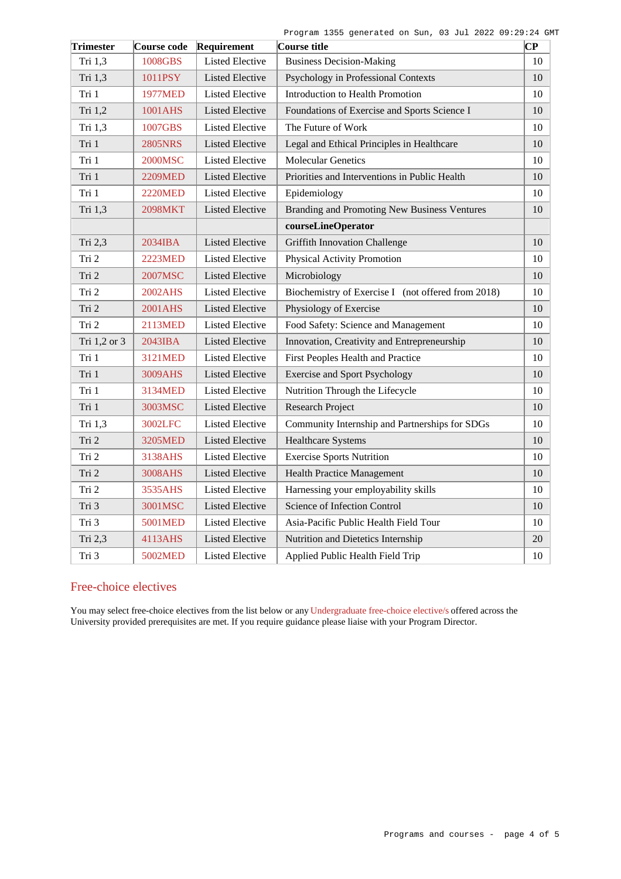|  | Program 1355 generated on Sun, 03 Jul 2022 09:29:24 GMT |  |  |  |  |
|--|---------------------------------------------------------|--|--|--|--|
|  |                                                         |  |  |  |  |

| <b>Trimester</b> | Course code    | Requirement            | Course title                                       | $\mathbf C\mathbf P$ |
|------------------|----------------|------------------------|----------------------------------------------------|----------------------|
| Tri 1,3          | 1008GBS        | <b>Listed Elective</b> | <b>Business Decision-Making</b>                    | 10                   |
| Tri 1,3          | 1011PSY        | <b>Listed Elective</b> | Psychology in Professional Contexts                | 10                   |
| Tri 1            | 1977MED        | Listed Elective        | Introduction to Health Promotion                   | 10                   |
| Tri 1,2          | 1001AHS        | <b>Listed Elective</b> | Foundations of Exercise and Sports Science I       | 10                   |
| Tri 1,3          | 1007GBS        | <b>Listed Elective</b> | The Future of Work                                 | 10                   |
| Tri 1            | 2805NRS        | <b>Listed Elective</b> | Legal and Ethical Principles in Healthcare         | 10                   |
| Tri 1            | 2000MSC        | <b>Listed Elective</b> | <b>Molecular Genetics</b>                          | 10                   |
| Tri 1            | 2209MED        | <b>Listed Elective</b> | Priorities and Interventions in Public Health      | 10                   |
| Tri 1            | <b>2220MED</b> | <b>Listed Elective</b> | Epidemiology                                       | 10                   |
| Tri 1,3          | <b>2098MKT</b> | <b>Listed Elective</b> | Branding and Promoting New Business Ventures       | 10                   |
|                  |                |                        | courseLineOperator                                 |                      |
| Tri 2,3          | 2034IBA        | <b>Listed Elective</b> | <b>Griffith Innovation Challenge</b>               | 10                   |
| Tri 2            | <b>2223MED</b> | <b>Listed Elective</b> | Physical Activity Promotion                        | 10                   |
| Tri 2            | 2007MSC        | <b>Listed Elective</b> | Microbiology                                       | 10                   |
| Tri 2            | 2002AHS        | <b>Listed Elective</b> | Biochemistry of Exercise I (not offered from 2018) | 10                   |
| Tri 2            | 2001AHS        | <b>Listed Elective</b> | Physiology of Exercise                             | $10\,$               |
| Tri 2            | 2113MED        | <b>Listed Elective</b> | Food Safety: Science and Management                | 10                   |
| Tri 1,2 or 3     | 2043IBA        | <b>Listed Elective</b> | Innovation, Creativity and Entrepreneurship        | 10                   |
| Tri 1            | 3121MED        | <b>Listed Elective</b> | First Peoples Health and Practice                  | 10                   |
| Tri 1            | 3009AHS        | <b>Listed Elective</b> | <b>Exercise and Sport Psychology</b>               | 10                   |
| Tri 1            | 3134MED        | <b>Listed Elective</b> | Nutrition Through the Lifecycle                    | 10                   |
| Tri 1            | 3003MSC        | <b>Listed Elective</b> | <b>Research Project</b>                            | 10                   |
| Tri 1,3          | 3002LFC        | <b>Listed Elective</b> | Community Internship and Partnerships for SDGs     | 10                   |
| Tri 2            | 3205MED        | <b>Listed Elective</b> | <b>Healthcare Systems</b>                          | 10                   |
| Tri 2            | 3138AHS        | <b>Listed Elective</b> | <b>Exercise Sports Nutrition</b>                   | 10                   |
| Tri 2            | 3008AHS        | <b>Listed Elective</b> | <b>Health Practice Management</b>                  | $10\,$               |
| Tri 2            | 3535AHS        | <b>Listed Elective</b> | Harnessing your employability skills               | 10                   |
| Tri 3            | 3001MSC        | <b>Listed Elective</b> | Science of Infection Control                       | 10                   |
| Tri 3            | 5001MED        | <b>Listed Elective</b> | Asia-Pacific Public Health Field Tour              | 10                   |
| Tri 2,3          | 4113AHS        | <b>Listed Elective</b> | Nutrition and Dietetics Internship                 | 20                   |
| Tri 3            | 5002MED        | Listed Elective        | Applied Public Health Field Trip                   | $10\,$               |

# Free-choice electives

You may select free-choice electives from the list below or any [Undergraduate free-choice elective/s](https://www148.griffith.edu.au/programs-courses/Search/Results?SearchRequestType=CourseCatalogue&AcademicCareerName=UGRD&IsFreeChoiceElective=True) offered across the University provided prerequisites are met. If you require guidance please liaise with your Program Director.